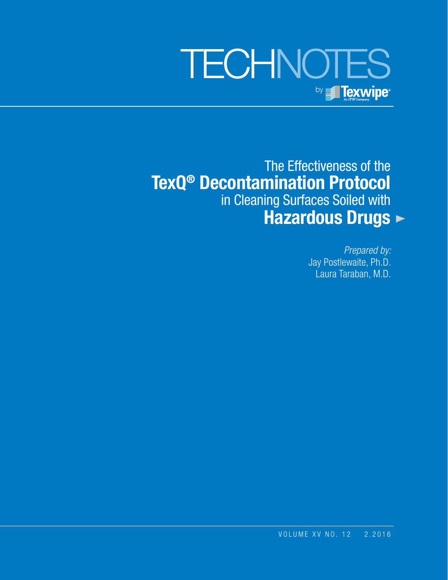# **TECHNOTES** by **Fexwipe**

The Effectiveness of the **TexQ® Decontamination Protocol** in Cleaning Surfaces Soiled with  **Hazardous Drugs**

> *Prepared by:* Jay Postlewaite, Ph.D. Laura Taraban, M.D.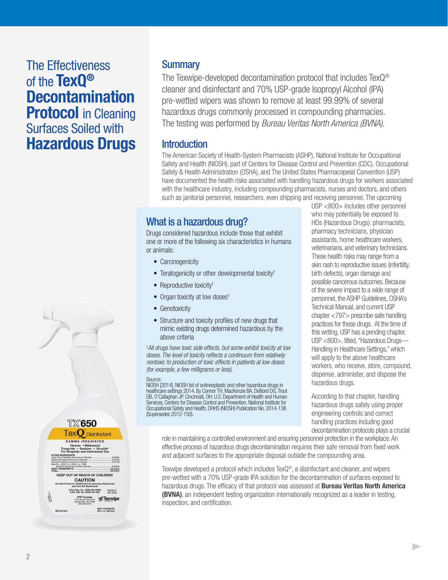# The Effectiveness of the **TexQ® Decontamination Protocol** in Cleaning Surfaces Soiled with **Hazardous Drugs**



**Summary** 

The Texwipe-developed decontamination protocol that includes TexQ® cleaner and disinfectant and 70% USP-grade Isopropyl Alcohol (IPA) pre-wetted wipers was shown to remove at least 99.99% of several hazardous drugs commonly processed in compounding pharmacies. The testing was performed by *Bureau Veritas North America (BVNA)*.

#### **Introduction**

The American Society of Health-System Pharmacists (ASHP), National Institute for Occupational Safety and Health (NIOSH), part of Centers for Disease Control and Prevention (CDC), Occupational Safety & Health Administration (OSHA), and The United States Pharmacopeial Convention (USP) have documented the health risks associated with handling hazardous drugs for workers associated with the healthcare industry, including compounding pharmacists, nurses and doctors, and others such as janitorial personnel, researchers, even shipping and receiving personnel. The upcoming

## What is a hazardous drug?

Drugs considered hazardous include those that exhibit one or more of the following six characteristics in humans or animals:

- Carcinogenicity
- Teratogenicity or other developmental toxicity†
- Reproductive toxicity<sup>†</sup>
- Organ toxicity at low doses<sup>†</sup>
- Genotoxicity
- Structure and toxicity profiles of new drugs that mimic existing drugs determined hazardous by the above criteria

† *All drugs have toxic side effects, but some exhibit toxicity at low doses. The level of toxicity reflects a continuum from relatively nontoxic to production of toxic effects in patients at low doses (for example, a few milligrams or less).* 

#### **Source:**

NIOSH [2014]. NIOSH list of antineoplastic and other hazardous drugs in healthcare settings 2014. By Connor TH, MacKenzie BA, DeBord DG, Trout DB, O'Callaghan JP. Cincinnati, OH: U.S. Department of Health and Human Services, Centers for Disease Control and Prevention, National Institute for Occupational Safety and Health, DHHS (NIOSH) Publication No. 2014-138 (Supersedes 2012-150).

USP <800> includes other personnel who may potentially be exposed to HDs (Hazardous Drugs): pharmacists, pharmacy technicians, physician assistants, home healthcare workers, veterinarians, and veterinary technicians. These health risks may range from a skin rash to reproductive issues (infertility, birth defects), organ damage and possible cancerous outcomes. Because of the severe impact to a wide range of personnel, the ASHP Guidelines, OSHA's Technical Manual, and current USP chapter <797> prescribe safe handling practices for these drugs. At the time of this writing, USP has a pending chapter, USP <800>, titled, "Hazardous Drugs— Handling in Healthcare Settings," which will apply to the above healthcare workers, who receive, store, compound, dispense, administer, and dispose the hazardous drugs.

According to that chapter, handling hazardous drugs safely using proper engineering controls and correct handling practices including good decontamination protocols plays a crucial

 $\blacktriangleright$ 

role in maintaining a controlled environment and ensuring personnel protection in the workplace. An effective process of hazardous drugs decontamination requires their safe removal from fixed work and adjacent surfaces to the appropriate disposal outside the compounding area.

Texwipe developed a protocol which includes TexQ®, a disinfectant and cleaner, and wipers pre-wetted with a 70% USP-grade IPA solution for the decontamination of surfaces exposed to hazardous drugs. The efficacy of that protocol was assessed at **Bureau Veritas North America (BVNA)**, an independent testing organization internationally recognized as a leader in testing, inspection, and certification.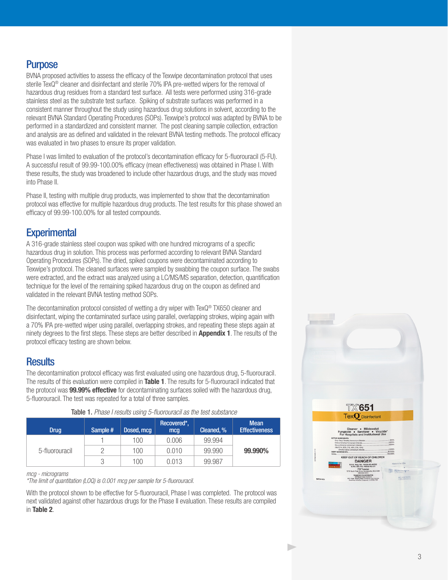#### **Purpose**

BVNA proposed activities to assess the efficacy of the Texwipe decontamination protocol that uses sterile TexQ® cleaner and disinfectant and sterile 70% IPA pre-wetted wipers for the removal of hazardous drug residues from a standard test surface. All tests were performed using 316-grade stainless steel as the substrate test surface. Spiking of substrate surfaces was performed in a consistent manner throughout the study using hazardous drug solutions in solvent, according to the relevant BVNA Standard Operating Procedures (SOPs). Texwipe's protocol was adapted by BVNA to be performed in a standardized and consistent manner. The post cleaning sample collection, extraction and analysis are as defined and validated in the relevant BVNA testing methods. The protocol efficacy was evaluated in two phases to ensure its proper validation.

Phase I was limited to evaluation of the protocol's decontamination efficacy for 5-fluorouracil (5-FU). A successful result of 99.99-100.00% efficacy (mean effectiveness) was obtained in Phase I. With these results, the study was broadened to include other hazardous drugs, and the study was moved into Phase II.

Phase II, testing with multiple drug products, was implemented to show that the decontamination protocol was effective for multiple hazardous drug products. The test results for this phase showed an efficacy of 99.99-100.00% for all tested compounds.

## **Experimental**

A 316-grade stainless steel coupon was spiked with one hundred micrograms of a specific hazardous drug in solution. This process was performed according to relevant BVNA Standard Operating Procedures (SOPs). The dried, spiked coupons were decontaminated according to Texwipe's protocol. The cleaned surfaces were sampled by swabbing the coupon surface. The swabs were extracted, and the extract was analyzed using a LC/MS/MS separation, detection, quantification technique for the level of the remaining spiked hazardous drug on the coupon as defined and validated in the relevant BVNA testing method SOPs.

The decontamination protocol consisted of wetting a dry wiper with TexQ® TX650 cleaner and disinfectant, wiping the contaminated surface using parallel, overlapping strokes, wiping again with a 70% IPA pre-wetted wiper using parallel, overlapping strokes, and repeating these steps again at ninety degrees to the first steps. These steps are better described in **Appendix 1**. The results of the protocol efficacy testing are shown below.

#### **Results**

The decontamination protocol efficacy was first evaluated using one hazardous drug, 5-fluorouracil. The results of this evaluation were compiled in **Table 1**. The results for 5-fluorouracil indicated that the protocol was **99.99% effective** for decontaminating surfaces soiled with the hazardous drug, 5-fluorouracil. The test was repeated for a total of three samples.

|  | <b>Drug</b>    | Sample # | Dosed, mcg | Recovered*,<br>mcq | Cleaned, % | <b>Mean</b><br><b>Effectiveness</b> |  |  |
|--|----------------|----------|------------|--------------------|------------|-------------------------------------|--|--|
|  |                |          | 100        | 0.006              | 99.994     |                                     |  |  |
|  | 5-fluorouracil |          | 100        | 0.010              | 99.990     | 99.990%                             |  |  |
|  |                | Ç        | 100        | 0.013              | 99.987     |                                     |  |  |

Table 1. *Phase I results using 5-fluorouracil as the test substance*

#### *mcg - micrograms*

*\*The limit of quantitation (LOQ) is 0.001 mcg per sample for 5-fluorouracil.*

With the protocol shown to be effective for 5-fluorouracil, Phase I was completed. The protocol was next validated against other hazardous drugs for the Phase II evaluation. These results are compiled in **Table 2**.

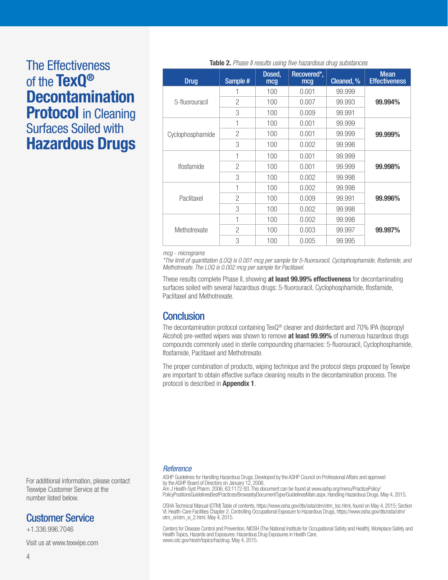# The Effectiveness of the **TexQ® Decontamination Protocol** in Cleaning Surfaces Soiled with **Hazardous Drugs**

| <b>Drug</b>              | Sample #       | Dosed,<br>mcg | Recovered*,<br>mcg | Cleaned, % | <b>Mean</b><br><b>Effectiveness</b> |  |
|--------------------------|----------------|---------------|--------------------|------------|-------------------------------------|--|
|                          |                | 100           | 0.001              | 99.999     | 99.994%                             |  |
| 5-fluorouracil           | $\mathcal{P}$  | 100           | 0.007              | 99.993     |                                     |  |
|                          | 3              | 100           | 0.009              | 99.991     |                                     |  |
| Cyclophosphamide         | 1              | 100           | 0.001              | 99,999     | 99.999%                             |  |
|                          | $\overline{2}$ | 100           | 0.001              | 99,999     |                                     |  |
|                          | 3              | 100           | 0.002              | 99.998     |                                     |  |
| <i><b>Ifosfamide</b></i> | 1              | 100           | 0.001              | 99,999     | 99.998%                             |  |
|                          | $\overline{2}$ | 100           | 0.001              | 99.999     |                                     |  |
|                          | 3              | 100           | 0.002              | 99.998     |                                     |  |
| Paclitaxel               | 1              | 100           | 0.002              | 99,998     | 99.996%                             |  |
|                          | $\mathcal{P}$  | 100           | 0.009              | 99.991     |                                     |  |
|                          | 3              | 100           | 0.002              | 99,998     |                                     |  |
| Methotrexate             | 1              | 100           | 0.002              | 99,998     |                                     |  |
|                          | $\overline{2}$ | 100           | 0.003              | 99.997     | 99.997%                             |  |
|                          | 3              | 100           | 0.005              | 99.995     |                                     |  |

#### **Table 2.** *Phase II results using five hazardous drug substances*

*mcg - micrograms* 

*\*The limit of quantitation (LOQ) is 0.001 mcg per sample for 5-fluorouracil, Cyclophosphamide, Ifosfamide, and Methotrexate. The LOQ is 0.002 mcg per sample for Paclitaxel.*

These results complete Phase II, showing **at least 99.99% effectiveness** for decontaminating surfaces soiled with several hazardous drugs: 5-fluorouracil, Cyclophosphamide, Ifosfamide, Paclitaxel and Methotrexate.

#### **Conclusion**

The decontamination protocol containing TexQ® cleaner and disinfectant and 70% IPA (Isopropyl Alcohol) pre-wetted wipers was shown to remove **at least 99.99%** of numerous hazardous drugs compounds commonly used in sterile compounding pharmacies: 5-fluorouracil, Cyclophosphamide, Ifosfamide, Paclitaxel and Methotrexate.

The proper combination of products, wiping technique and the protocol steps proposed by Texwipe are important to obtain effective surface cleaning results in the decontamination process. The protocol is described in **Appendix 1**.

#### *Reference*

ASHP Guidelines for Handling Hazardous Drugs, Developed by the ASHP Council on Professional Affairs and approved by the ASHP Board of Directors on January 12, 2006, Am J Health-Syst Pharm. 2006; 63:1172-93. This document can be found at www.ashp.org/menu/PracticePolicy/ PolicyPositionsGuidelinesBestPractices/BrowsebyDocumentType/GuidelinesMain.aspx, Handling Hazardous Drugs. May 4, 2015.

OSHA Technical Manual (OTM) Table of contents, https://www.osha.gov/dts/osta/otm/otm\_toc.html, found on May 4, 2015; Section VI: Health-Care Facilities Chapter 2. Controlling Occupational Exposure to Hazardous Drugs, https://www.osha.gov/dts/osta/otm/ otm\_vi/otm\_vi\_2.html. May 4, 2015.

Centers for Disease Control and Prevention, NIOSH (The National Institute for Occupational Safety and Health), Workplace Safety and Health Topics, Hazards and Exposures: Hazardous Drug Exposures in Health Care, www.cdc.gov/niosh/topics/hazdrug. May 4, 2015.

For additional information, please contact Texwipe Customer Service at the number listed below.

#### Customer Service

+1.336.996.7046

Visit us at www.texwipe.com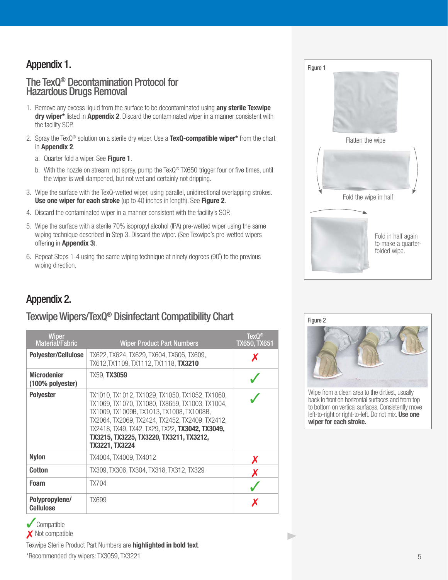## Appendix 1.

#### The TexQ® Decontamination Protocol for Hazardous Drugs Removal

- 1. Remove any excess liquid from the surface to be decontaminated using **any sterile Texwipe dry wiper\*** listed in **Appendix 2**. Discard the contaminated wiper in a manner consistent with the facility SOP.
- 2. Spray the TexQ® solution on a sterile dry wiper. Use a **TexQ-compatible wiper\*** from the chart in **Appendix 2**.
	- a. Quarter fold a wiper. See **Figure 1**.
	- b. With the nozzle on stream, not spray, pump the TexQ<sup>®</sup> TX650 trigger four or five times, until the wiper is well dampened, but not wet and certainly not dripping.
- 3. Wipe the surface with the TexQ-wetted wiper, using parallel, unidirectional overlapping strokes. **Use one wiper for each stroke** (up to 40 inches in length). See **Figure 2**.
- 4. Discard the contaminated wiper in a manner consistent with the facility's SOP.
- 5. Wipe the surface with a sterile 70% isopropyl alcohol (IPA) pre-wetted wiper using the same wiping technique described in Step 3. Discard the wiper. (See Texwipe's pre-wetted wipers offering in **Appendix 3**).
- 6. Repeat Steps 1-4 using the same wiping technique at ninety degrees (90˚) to the previous wiping direction.

## Appendix 2.

## Texwipe Wipers/TexQ® Disinfectant Compatibility Chart

| <b>Wiper</b><br><b>Material/Fabric</b>    | <b>Wiper Product Part Numbers</b>                                                                                                                                                                                                                                                                                  | $TexQ^{\circledcirc}$<br><b>TX650, TX651</b> |
|-------------------------------------------|--------------------------------------------------------------------------------------------------------------------------------------------------------------------------------------------------------------------------------------------------------------------------------------------------------------------|----------------------------------------------|
| <b>Polyester/Cellulose</b>                | TX622, TX624, TX629, TX604, TX606, TX609,<br>TX612, TX1109, TX1112, TX1118, TX3210                                                                                                                                                                                                                                 |                                              |
| <b>Microdenier</b><br>$(100\%$ polyester) | TX59, <b>TX3059</b>                                                                                                                                                                                                                                                                                                |                                              |
| <b>Polyester</b>                          | TX1010, TX1012, TX1029, TX1050, TX1052, TX1060,<br>TX1069, TX1070, TX1080, TX8659, TX1003, TX1004,<br>TX1009, TX1009B, TX1013, TX1008, TX1008B,<br>TX2064, TX2069, TX2424, TX2452, TX2409, TX2412,<br>TX2418, TX49, TX42, TX29, TX22, TX3042, TX3049,<br>TX3215, TX3225, TX3220, TX3211, TX3212,<br>TX3221, TX3224 |                                              |
| <b>Nylon</b>                              | TX4004, TX4009, TX4012                                                                                                                                                                                                                                                                                             |                                              |
| Cotton                                    | TX309, TX306, TX304, TX318, TX312, TX329                                                                                                                                                                                                                                                                           |                                              |
| Foam                                      | <b>TX704</b>                                                                                                                                                                                                                                                                                                       |                                              |
| Polypropylene/<br><b>Cellulose</b>        | <b>TX699</b>                                                                                                                                                                                                                                                                                                       |                                              |

✓ Compatible

X Not compatible

Texwipe Sterile Product Part Numbers are **highlighted in bold text**. \*Recommended dry wipers: TX3059, TX3221





Wipe from a clean area to the dirtiest, usually back to front on horizontal surfaces and from top to bottom on vertical surfaces. Consistently move left-to-right or right-to-left. Do not mix. **Use one wiper for each stroke.**

b.